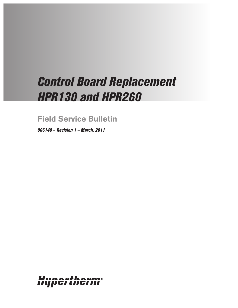# *Control Board Replacement HPR130 and HPR260*

**Field Service Bulletin**

*806140 – Revision 1 – March, 2011*

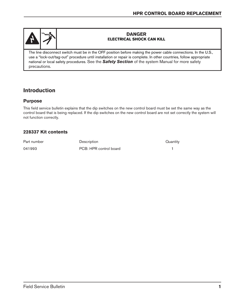

#### **DANGER ELECTRICAL SHOCK CAN KILL**

The line disconnect switch must be in the OFF position before making the power cable connections. In the U.S., use a "lock-out/tag-out" procedure until installation or repair is complete. In other countries, follow appropriate national or local safety procedures. See the *Safety Section* of the system Manual for more safety precautions.

# **Introduction**

## **Purpose**

This field service bulletin explains that the dip switches on the new control board must be set the same way as the control board that is being replaced. If the dip switches on the new control board are not set correctly the system will not function correctly.

## **228337 Kit contents**

| Part number | <b>Description</b>     | Quantity |
|-------------|------------------------|----------|
| 041993      | PCB: HPR control board |          |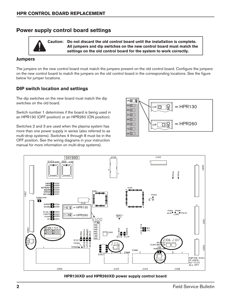## **Power supply control board settings**

**Caution: Do not discard the old control board until the installation is complete. All jumpers and dip switches on the new control board must match the settings on the old control board for the system to work correctly.**

#### **Jumpers**

The jumpers on the new control board must match the jumpers present on the old control board. Configure the jumpers on the new control board to match the jumpers on the old control board in the corresponding locations. See the figure below for jumper locations.

#### **DIP switch location and settings**

The dip switches on the new board must match the dip switches on the old board.

Switch number 1 determines if the board is being used in an HPR130 (OFF position) or an HPR260 (ON position).

Switches 2 and 3 are used when the plasma system has more than one power supply in series (also referred to as multi-drop systems). Switches 4 through 8 must be in the OFF position. See the wiring diagrams in your instruction manual for more information on multi-drop systems).





**HPR130XD and HPR260XD power supply control board**